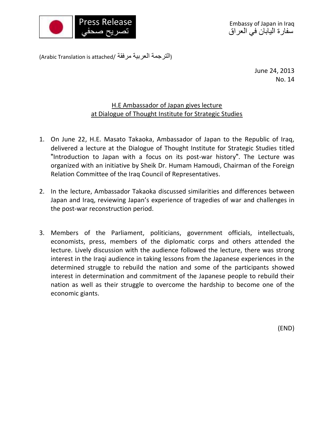

(Arabic Translation is attached/ مرفقة العربية الترجمة(

June 24, 2013 No. 14

## H.E Ambassador of Japan gives lecture at Dialogue of Thought Institute for Strategic Studies

- 1. On June 22, H.E. Masato Takaoka, Ambassador of Japan to the Republic of Iraq, delivered a lecture at the Dialogue of Thought Institute for Strategic Studies titled "Introduction to Japan with a focus on its post-war history". The Lecture was organized with an initiative by Sheik Dr. Humam Hamoudi, Chairman of the Foreign Relation Committee of the Iraq Council of Representatives.
- 2. In the lecture, Ambassador Takaoka discussed similarities and differences between Japan and Iraq, reviewing Japan's experience of tragedies of war and challenges in the post-war reconstruction period.
- 3. Members of the Parliament, politicians, government officials, intellectuals, economists, press, members of the diplomatic corps and others attended the lecture. Lively discussion with the audience followed the lecture, there was strong interest in the Iraqi audience in taking lessons from the Japanese experiences in the determined struggle to rebuild the nation and some of the participants showed interest in determination and commitment of the Japanese people to rebuild their nation as well as their struggle to overcome the hardship to become one of the economic giants.

(END)